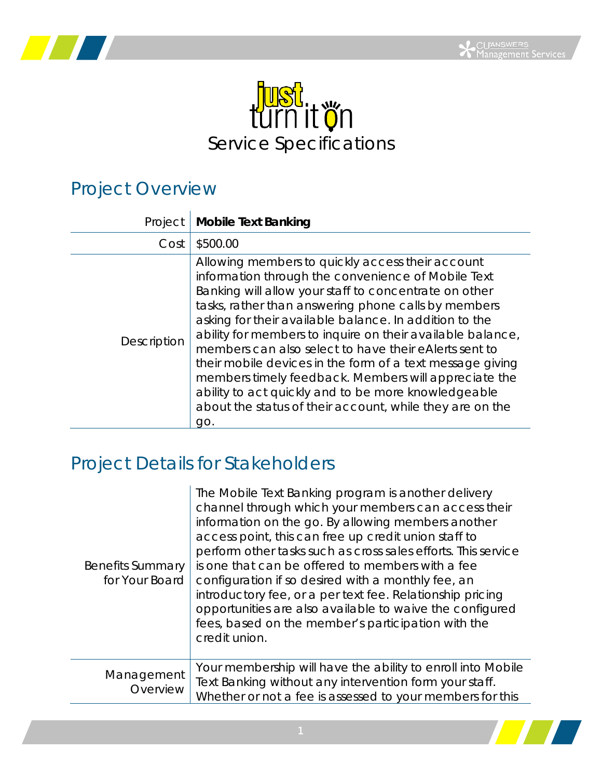



## Project Overview

| Project     | <b>Mobile Text Banking</b>                                                                                                                                                                                                                                                                                                                                                                                                                                                                                                                                                                                                                             |
|-------------|--------------------------------------------------------------------------------------------------------------------------------------------------------------------------------------------------------------------------------------------------------------------------------------------------------------------------------------------------------------------------------------------------------------------------------------------------------------------------------------------------------------------------------------------------------------------------------------------------------------------------------------------------------|
| Cost        | \$500.00                                                                                                                                                                                                                                                                                                                                                                                                                                                                                                                                                                                                                                               |
| Description | Allowing members to quickly access their account<br>information through the convenience of Mobile Text<br>Banking will allow your staff to concentrate on other<br>tasks, rather than answering phone calls by members<br>asking for their available balance. In addition to the<br>ability for members to inquire on their available balance,<br>members can also select to have their eAlerts sent to<br>their mobile devices in the form of a text message giving<br>members timely feedback. Members will appreciate the<br>ability to act quickly and to be more knowledgeable<br>about the status of their account, while they are on the<br>qo. |

## Project Details for Stakeholders

| <b>Benefits Summary</b><br>for Your Board | The Mobile Text Banking program is another delivery<br>channel through which your members can access their<br>information on the go. By allowing members another<br>access point, this can free up credit union staff to<br>perform other tasks such as cross sales efforts. This service<br>is one that can be offered to members with a fee<br>configuration if so desired with a monthly fee, an<br>introductory fee, or a per text fee. Relationship pricing<br>opportunities are also available to waive the configured<br>fees, based on the member's participation with the<br>credit union. |
|-------------------------------------------|-----------------------------------------------------------------------------------------------------------------------------------------------------------------------------------------------------------------------------------------------------------------------------------------------------------------------------------------------------------------------------------------------------------------------------------------------------------------------------------------------------------------------------------------------------------------------------------------------------|
| Management<br>Overview                    | Your membership will have the ability to enroll into Mobile<br>Text Banking without any intervention form your staff.<br>Whether or not a fee is assessed to your members for this                                                                                                                                                                                                                                                                                                                                                                                                                  |

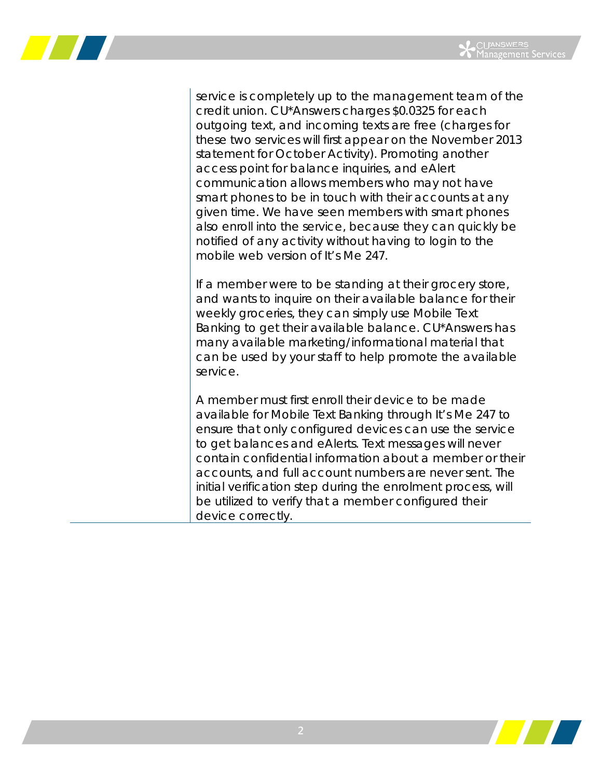

service is completely up to the management team of the credit union. CU\*Answers charges \$0.0325 for each outgoing text, and incoming texts are free (charges for these two services will first appear on the November 2013 statement for October Activity). Promoting another access point for balance inquiries, and eAlert communication allows members who may not have smart phones to be in touch with their accounts at any given time. We have seen members with smart phones also enroll into the service, because they can quickly be notified of any activity without having to login to the mobile web version of It's Me 247.

If a member were to be standing at their grocery store, and wants to inquire on their available balance for their weekly groceries, they can simply use Mobile Text Banking to get their available balance. CU\*Answers has many available marketing/informational material that can be used by your staff to help promote the available service.

A member must first enroll their device to be made available for Mobile Text Banking through It's Me 247 to ensure that only configured devices can use the service to get balances and eAlerts. Text messages will never contain confidential information about a member or their accounts, and full account numbers are never sent. The initial verification step during the enrolment process, will be utilized to verify that a member configured their device correctly.

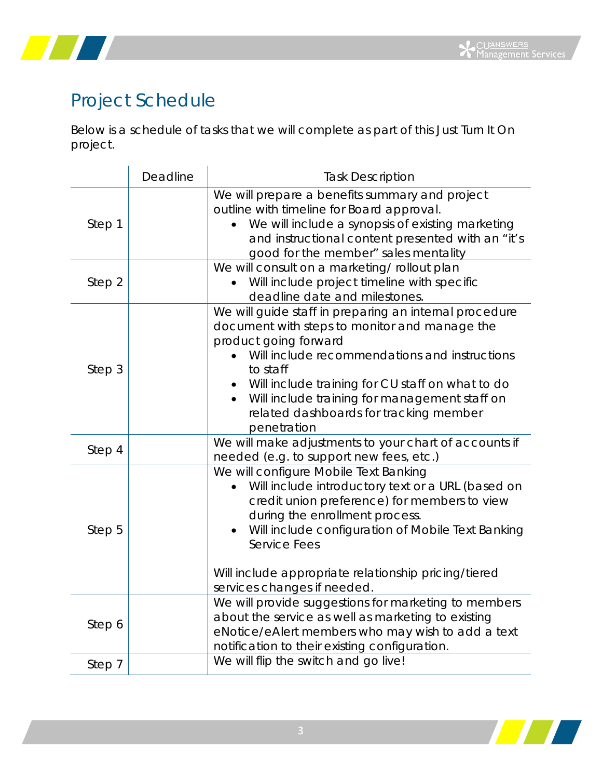



## Project Schedule

Below is a schedule of tasks that we will complete as part of this Just Turn It On project.

|        | Deadline | <b>Task Description</b>                                                                                                                                                                                                                                                                                                                                                  |
|--------|----------|--------------------------------------------------------------------------------------------------------------------------------------------------------------------------------------------------------------------------------------------------------------------------------------------------------------------------------------------------------------------------|
| Step 1 |          | We will prepare a benefits summary and project<br>outline with timeline for Board approval.<br>We will include a synopsis of existing marketing<br>and instructional content presented with an "it's<br>good for the member" sales mentality                                                                                                                             |
| Step 2 |          | We will consult on a marketing/ rollout plan<br>Will include project timeline with specific<br>deadline date and milestones.                                                                                                                                                                                                                                             |
| Step 3 |          | We will guide staff in preparing an internal procedure<br>document with steps to monitor and manage the<br>product going forward<br>Will include recommendations and instructions<br>to staff<br>Will include training for CU staff on what to do<br>Will include training for management staff on<br>$\bullet$<br>related dashboards for tracking member<br>penetration |
| Step 4 |          | We will make adjustments to your chart of accounts if<br>needed (e.g. to support new fees, etc.)                                                                                                                                                                                                                                                                         |
| Step 5 |          | We will configure Mobile Text Banking<br>Will include introductory text or a URL (based on<br>credit union preference) for members to view<br>during the enrollment process.<br>Will include configuration of Mobile Text Banking<br>Service Fees<br>Will include appropriate relationship pricing/tiered                                                                |
|        |          | services changes if needed.                                                                                                                                                                                                                                                                                                                                              |
| Step 6 |          | We will provide suggestions for marketing to members<br>about the service as well as marketing to existing<br>eNotice/eAlert members who may wish to add a text<br>notification to their existing configuration.                                                                                                                                                         |
| Step 7 |          | We will flip the switch and go live!                                                                                                                                                                                                                                                                                                                                     |